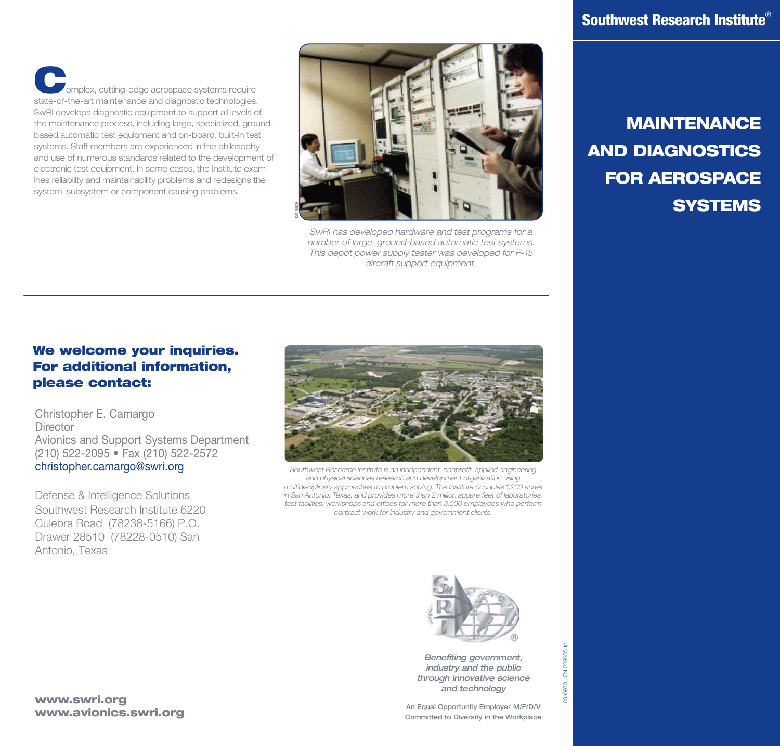omplex, cutting-edge aerospace systems require state-of-the-art maintenance and diagnostic technologies. SwRI develops diagnostic equipment to support all levels of the maintenance process, including large, specialized, groundbased automatic test equipment and on-board, built-in test systems. Staff members are experienced in the philosophy and use of numerous standards related to the development of electronic test equipment. In some cases, the Institute examines reliability and maintainability problems and redesigns the system, subsystem or component causing problems.



*SwRI has developed hardware and test programs for a number of large, ground-based automatic test systems. This depot power supply tester was developed for F-15 aircraft support equipment.*

## MAINTENANCE AND DIAGNOSTICS FOR AEROSPACE **SYSTEMS**

## We welcome your inquiries. For additional information, please contact:

Christopher E. Camargo **Director** Avionics and Support Systems Department (210) 522-2095 • Fax (210) 522-2572 [christopher.camargo@swri.org](mailto:christopher.camargo@swri.org,com67@swri.org)

Defense & Intelligence Solutions Southwest Research Institute 6220 Culebra Road (78238-5166) P.O. Drawer 28510 (78228-0510) San Antonio, Texas



Southwest Research Institute is an independent, nonprofit, applied engineering *and physical sciences research and development organization using multidisciplinary approaches to problem solving. The Institute occupies 1,200 acres in San Antonio, Texas, and provides more than 2 million square feet of laboratories, test facilities, workshops and offices for more than 3,000 employees who perform contract work for industry and government clients.*



*Benefiting government, industry and the public through innovative science and technology*

An Equal Opportunity Employer M/F/D/V Committed to Diversity in the Workplace